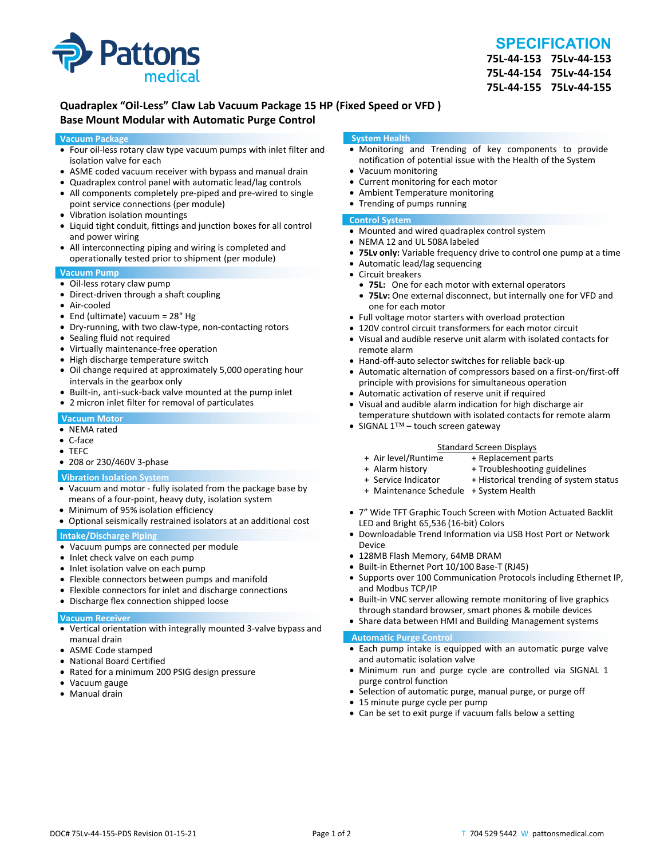

# **SPECIFICATION**

**75L‐44‐153 75Lv‐44‐153 75L‐44‐154 75Lv‐44‐154 75L‐44‐155 75Lv‐44‐155**

## **Quadraplex "Oil‐Less" Claw Lab Vacuum Package 15 HP (Fixed Speed or VFD ) Base Mount Modular with Automatic Purge Control**

#### **Vacuum Package**

- Four oil‐less rotary claw type vacuum pumps with inlet filter and isolation valve for each
- ASME coded vacuum receiver with bypass and manual drain
- Quadraplex control panel with automatic lead/lag controls
- All components completely pre-piped and pre-wired to single point service connections (per module)
- Vibration isolation mountings
- Liquid tight conduit, fittings and junction boxes for all control and power wiring
- All interconnecting piping and wiring is completed and operationally tested prior to shipment (per module)

#### **Vacuum Pump**

- Oil-less rotary claw pump
- Direct-driven through a shaft coupling
- Air‐cooled
- End (ultimate) vacuum = 28" Hg
- Dry-running, with two claw-type, non-contacting rotors
- Sealing fluid not required
- Virtually maintenance-free operation
- High discharge temperature switch
- Oil change required at approximately 5,000 operating hour intervals in the gearbox only
- Built-in, anti-suck-back valve mounted at the pump inlet
- 2 micron inlet filter for removal of particulates

#### **Vacuum Motor**

- NEMA rated
- C‐face
- TEFC
- 208 or 230/460V 3-phase

#### **Vibration Isolation System**

- Vacuum and motor ‐ fully isolated from the package base by means of a four‐point, heavy duty, isolation system
- Minimum of 95% isolation efficiency
- Optional seismically restrained isolators at an additional cost

#### **Intake/Discharge Piping**

- Vacuum pumps are connected per module
- Inlet check valve on each pump
- Inlet isolation valve on each pump
- Flexible connectors between pumps and manifold
- Flexible connectors for inlet and discharge connections
- Discharge flex connection shipped loose

#### **Vacuum Receiver**

- Vertical orientation with integrally mounted 3‐valve bypass and manual drain
- ASME Code stamped
- National Board Certified
- Rated for a minimum 200 PSIG design pressure
- Vacuum gauge
- Manual drain

#### **System Health**

- Monitoring and Trending of key components to provide notification of potential issue with the Health of the System
- Vacuum monitoring
- Current monitoring for each motor
- Ambient Temperature monitoring
- Trending of pumps running

### **Control System**

- Mounted and wired quadraplex control system
- NEMA 12 and UL 508A labeled
- **75Lv only:** Variable frequency drive to control one pump at a time
- Automatic lead/lag sequencing
- Circuit breakers
- **75L:** One for each motor with external operators
- **75Lv:** One external disconnect, but internally one for VFD and one for each motor
- Full voltage motor starters with overload protection
- 120V control circuit transformers for each motor circuit
- Visual and audible reserve unit alarm with isolated contacts for remote alarm
- Hand-off-auto selector switches for reliable back-up
- Automatic alternation of compressors based on a first-on/first-off principle with provisions for simultaneous operation
- Automatic activation of reserve unit if required
- Visual and audible alarm indication for high discharge air temperature shutdown with isolated contacts for remote alarm
- SIGNAL 1™ touch screen gateway

# Standard Screen Displays<br>Air level/Runtime + Replacement p +

- + Air level/Runtime + Replacement parts
- 
- + Troubleshooting guidelines
- + Service Indicator + Historical trending of system status
- + Maintenance Schedule + System Health
- 7" Wide TFT Graphic Touch Screen with Motion Actuated Backlit LED and Bright 65,536 (16‐bit) Colors
- Downloadable Trend Information via USB Host Port or Network Device
- 128MB Flash Memory, 64MB DRAM
- Built-in Ethernet Port 10/100 Base-T (RJ45)
- Supports over 100 Communication Protocols including Ethernet IP, and Modbus TCP/IP
- Built-in VNC server allowing remote monitoring of live graphics through standard browser, smart phones & mobile devices
- Share data between HMI and Building Management systems

#### **Automatic Purge Control**

- Each pump intake is equipped with an automatic purge valve and automatic isolation valve
- Minimum run and purge cycle are controlled via SIGNAL 1 purge control function
- Selection of automatic purge, manual purge, or purge off
- 15 minute purge cycle per pump
- Can be set to exit purge if vacuum falls below a setting